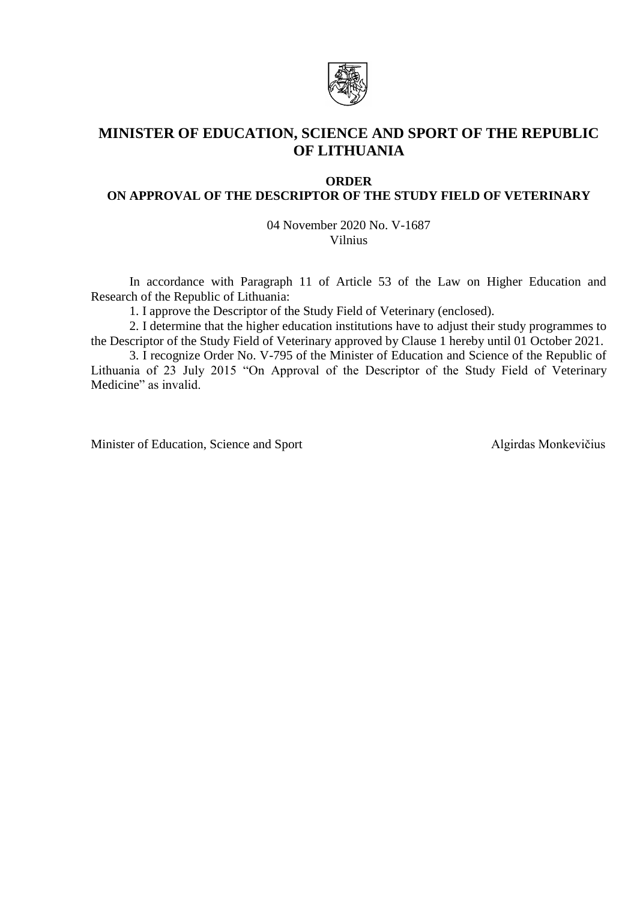

# **MINISTER OF EDUCATION, SCIENCE AND SPORT OF THE REPUBLIC OF LITHUANIA**

### **ORDER**

# **ON APPROVAL OF THE DESCRIPTOR OF THE STUDY FIELD OF VETERINARY**

04 November 2020 No. V-1687 Vilnius

In accordance with Paragraph 11 of Article 53 of the Law on Higher Education and Research of the Republic of Lithuania:

1. I approve the Descriptor of the Study Field of Veterinary (enclosed).

2. I determine that the higher education institutions have to adjust their study programmes to the Descriptor of the Study Field of Veterinary approved by Clause 1 hereby until 01 October 2021.

3. I recognize Order No. V-795 of the Minister of Education and Science of the Republic of Lithuania of 23 July 2015 "On Approval of the Descriptor of the Study Field of Veterinary Medicine" as invalid.

Minister of Education, Science and Sport Algirdas Monkevičius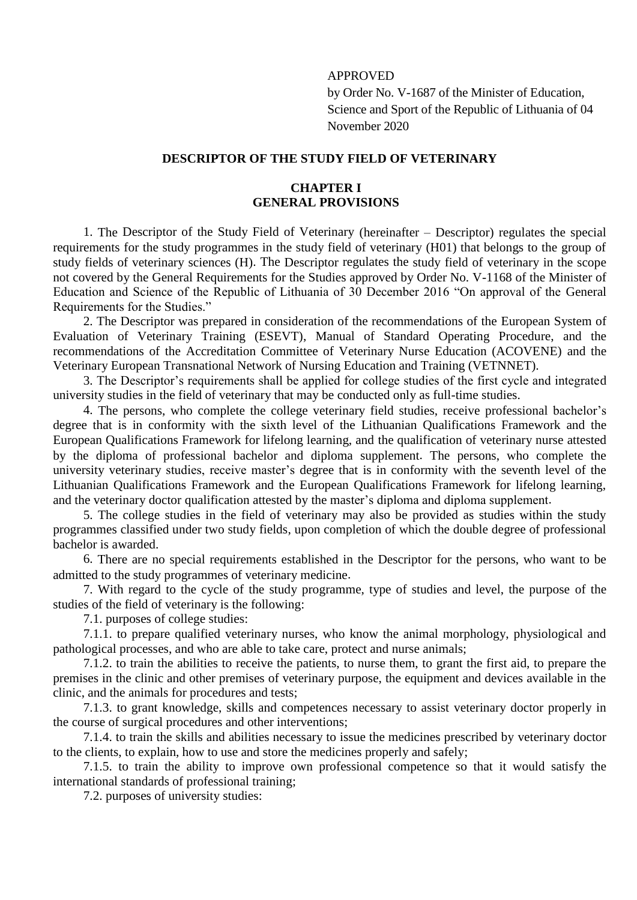### APPROVED

by Order No. V-1687 of the Minister of Education, Science and Sport of the Republic of Lithuania of 04 November 2020

# **DESCRIPTOR OF THE STUDY FIELD OF VETERINARY**

# **CHAPTER I GENERAL PROVISIONS**

1. The Descriptor of the Study Field of Veterinary (hereinafter – Descriptor) regulates the special requirements for the study programmes in the study field of veterinary (H01) that belongs to the group of study fields of veterinary sciences (H). The Descriptor regulates the study field of veterinary in the scope not covered by the General Requirements for the Studies approved by Order No. V-1168 of the Minister of Education and Science of the Republic of Lithuania of 30 December 2016 "On approval of the General Requirements for the Studies."

2. The Descriptor was prepared in consideration of the recommendations of the European System of Evaluation of Veterinary Training (ESEVT), Manual of Standard Operating Procedure, and the recommendations of the Accreditation Committee of Veterinary Nurse Education (ACOVENE) and the Veterinary European Transnational Network of Nursing Education and Training (VETNNET).

3. The Descriptor's requirements shall be applied for college studies of the first cycle and integrated university studies in the field of veterinary that may be conducted only as full-time studies.

4. The persons, who complete the college veterinary field studies, receive professional bachelor's degree that is in conformity with the sixth level of the Lithuanian Qualifications Framework and the European Qualifications Framework for lifelong learning, and the qualification of veterinary nurse attested by the diploma of professional bachelor and diploma supplement. The persons, who complete the university veterinary studies, receive master's degree that is in conformity with the seventh level of the Lithuanian Qualifications Framework and the European Qualifications Framework for lifelong learning, and the veterinary doctor qualification attested by the master's diploma and diploma supplement.

5. The college studies in the field of veterinary may also be provided as studies within the study programmes classified under two study fields, upon completion of which the double degree of professional bachelor is awarded.

6. There are no special requirements established in the Descriptor for the persons, who want to be admitted to the study programmes of veterinary medicine.

7. With regard to the cycle of the study programme, type of studies and level, the purpose of the studies of the field of veterinary is the following:

7.1. purposes of college studies:

7.1.1. to prepare qualified veterinary nurses, who know the animal morphology, physiological and pathological processes, and who are able to take care, protect and nurse animals;

7.1.2. to train the abilities to receive the patients, to nurse them, to grant the first aid, to prepare the premises in the clinic and other premises of veterinary purpose, the equipment and devices available in the clinic, and the animals for procedures and tests;

7.1.3. to grant knowledge, skills and competences necessary to assist veterinary doctor properly in the course of surgical procedures and other interventions;

7.1.4. to train the skills and abilities necessary to issue the medicines prescribed by veterinary doctor to the clients, to explain, how to use and store the medicines properly and safely;

7.1.5. to train the ability to improve own professional competence so that it would satisfy the international standards of professional training;

7.2. purposes of university studies: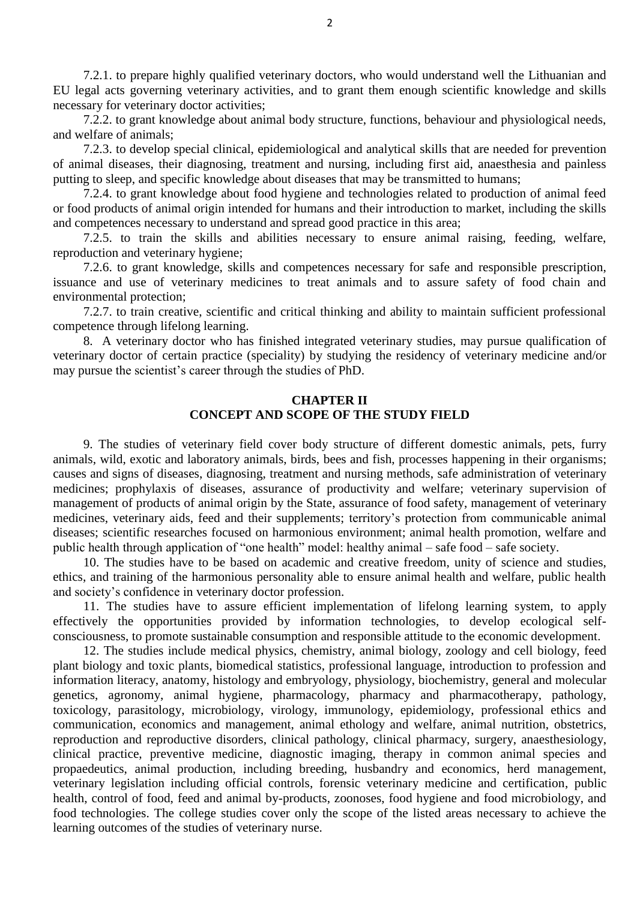7.2.1. to prepare highly qualified veterinary doctors, who would understand well the Lithuanian and EU legal acts governing veterinary activities, and to grant them enough scientific knowledge and skills necessary for veterinary doctor activities;

7.2.2. to grant knowledge about animal body structure, functions, behaviour and physiological needs, and welfare of animals;

7.2.3. to develop special clinical, epidemiological and analytical skills that are needed for prevention of animal diseases, their diagnosing, treatment and nursing, including first aid, anaesthesia and painless putting to sleep, and specific knowledge about diseases that may be transmitted to humans;

7.2.4. to grant knowledge about food hygiene and technologies related to production of animal feed or food products of animal origin intended for humans and their introduction to market, including the skills and competences necessary to understand and spread good practice in this area;

7.2.5. to train the skills and abilities necessary to ensure animal raising, feeding, welfare, reproduction and veterinary hygiene;

7.2.6. to grant knowledge, skills and competences necessary for safe and responsible prescription, issuance and use of veterinary medicines to treat animals and to assure safety of food chain and environmental protection;

7.2.7. to train creative, scientific and critical thinking and ability to maintain sufficient professional competence through lifelong learning.

8. A veterinary doctor who has finished integrated veterinary studies, may pursue qualification of veterinary doctor of certain practice (speciality) by studying the residency of veterinary medicine and/or may pursue the scientist's career through the studies of PhD.

#### **CHAPTER II CONCEPT AND SCOPE OF THE STUDY FIELD**

9. The studies of veterinary field cover body structure of different domestic animals, pets, furry animals, wild, exotic and laboratory animals, birds, bees and fish, processes happening in their organisms; causes and signs of diseases, diagnosing, treatment and nursing methods, safe administration of veterinary medicines; prophylaxis of diseases, assurance of productivity and welfare; veterinary supervision of management of products of animal origin by the State, assurance of food safety, management of veterinary medicines, veterinary aids, feed and their supplements; territory's protection from communicable animal diseases; scientific researches focused on harmonious environment; animal health promotion, welfare and public health through application of "one health" model: healthy animal – safe food – safe society.

10. The studies have to be based on academic and creative freedom, unity of science and studies, ethics, and training of the harmonious personality able to ensure animal health and welfare, public health and society's confidence in veterinary doctor profession.

11. The studies have to assure efficient implementation of lifelong learning system, to apply effectively the opportunities provided by information technologies, to develop ecological selfconsciousness, to promote sustainable consumption and responsible attitude to the economic development.

12. The studies include medical physics, chemistry, animal biology, zoology and cell biology, feed plant biology and toxic plants, biomedical statistics, professional language, introduction to profession and information literacy, anatomy, histology and embryology, physiology, biochemistry, general and molecular genetics, agronomy, animal hygiene, pharmacology, pharmacy and pharmacotherapy, pathology, toxicology, parasitology, microbiology, virology, immunology, epidemiology, professional ethics and communication, economics and management, animal ethology and welfare, animal nutrition, obstetrics, reproduction and reproductive disorders, clinical pathology, clinical pharmacy, surgery, anaesthesiology, clinical practice, preventive medicine, diagnostic imaging, therapy in common animal species and propaedeutics, animal production, including breeding, husbandry and economics, herd management, veterinary legislation including official controls, forensic veterinary medicine and certification, public health, control of food, feed and animal by-products, zoonoses, food hygiene and food microbiology, and food technologies. The college studies cover only the scope of the listed areas necessary to achieve the learning outcomes of the studies of veterinary nurse.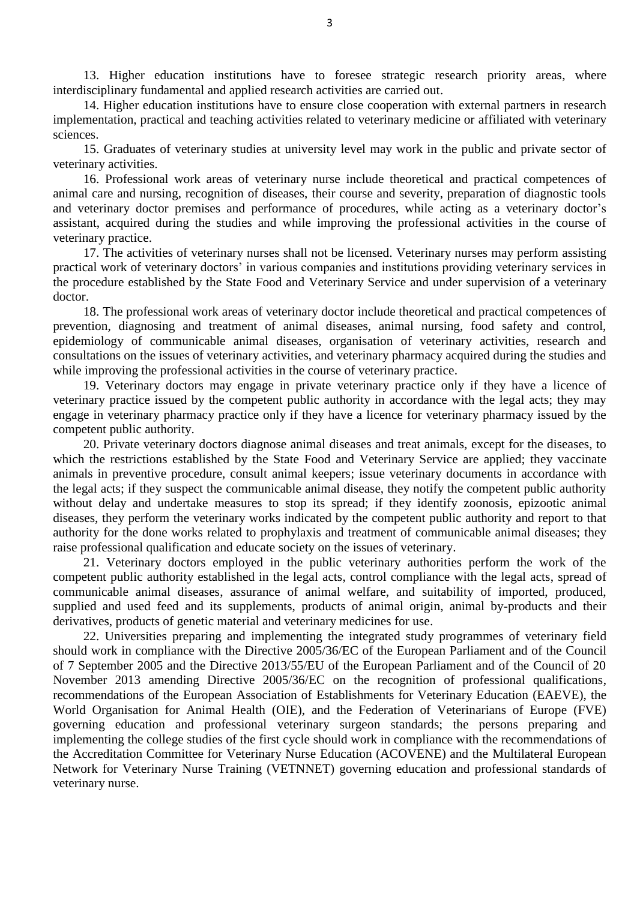13. Higher education institutions have to foresee strategic research priority areas, where interdisciplinary fundamental and applied research activities are carried out.

14. Higher education institutions have to ensure close cooperation with external partners in research implementation, practical and teaching activities related to veterinary medicine or affiliated with veterinary sciences.

15. Graduates of veterinary studies at university level may work in the public and private sector of veterinary activities.

16. Professional work areas of veterinary nurse include theoretical and practical competences of animal care and nursing, recognition of diseases, their course and severity, preparation of diagnostic tools and veterinary doctor premises and performance of procedures, while acting as a veterinary doctor's assistant, acquired during the studies and while improving the professional activities in the course of veterinary practice.

17. The activities of veterinary nurses shall not be licensed. Veterinary nurses may perform assisting practical work of veterinary doctors' in various companies and institutions providing veterinary services in the procedure established by the State Food and Veterinary Service and under supervision of a veterinary doctor.

18. The professional work areas of veterinary doctor include theoretical and practical competences of prevention, diagnosing and treatment of animal diseases, animal nursing, food safety and control, epidemiology of communicable animal diseases, organisation of veterinary activities, research and consultations on the issues of veterinary activities, and veterinary pharmacy acquired during the studies and while improving the professional activities in the course of veterinary practice.

19. Veterinary doctors may engage in private veterinary practice only if they have a licence of veterinary practice issued by the competent public authority in accordance with the legal acts; they may engage in veterinary pharmacy practice only if they have a licence for veterinary pharmacy issued by the competent public authority.

20. Private veterinary doctors diagnose animal diseases and treat animals, except for the diseases, to which the restrictions established by the State Food and Veterinary Service are applied; they vaccinate animals in preventive procedure, consult animal keepers; issue veterinary documents in accordance with the legal acts; if they suspect the communicable animal disease, they notify the competent public authority without delay and undertake measures to stop its spread; if they identify zoonosis, epizootic animal diseases, they perform the veterinary works indicated by the competent public authority and report to that authority for the done works related to prophylaxis and treatment of communicable animal diseases; they raise professional qualification and educate society on the issues of veterinary.

21. Veterinary doctors employed in the public veterinary authorities perform the work of the competent public authority established in the legal acts, control compliance with the legal acts, spread of communicable animal diseases, assurance of animal welfare, and suitability of imported, produced, supplied and used feed and its supplements, products of animal origin, animal by-products and their derivatives, products of genetic material and veterinary medicines for use.

22. Universities preparing and implementing the integrated study programmes of veterinary field should work in compliance with the Directive 2005/36/EC of the European Parliament and of the Council of 7 September 2005 and the Directive 2013/55/EU of the European Parliament and of the Council of 20 November 2013 amending Directive 2005/36/EC on the recognition of professional qualifications, recommendations of the European Association of Establishments for Veterinary Education (EAEVE), the World Organisation for Animal Health (OIE), and the Federation of Veterinarians of Europe (FVE) governing education and professional veterinary surgeon standards; the persons preparing and implementing the college studies of the first cycle should work in compliance with the recommendations of the Accreditation Committee for Veterinary Nurse Education (ACOVENE) and the Multilateral European Network for Veterinary Nurse Training (VETNNET) governing education and professional standards of veterinary nurse.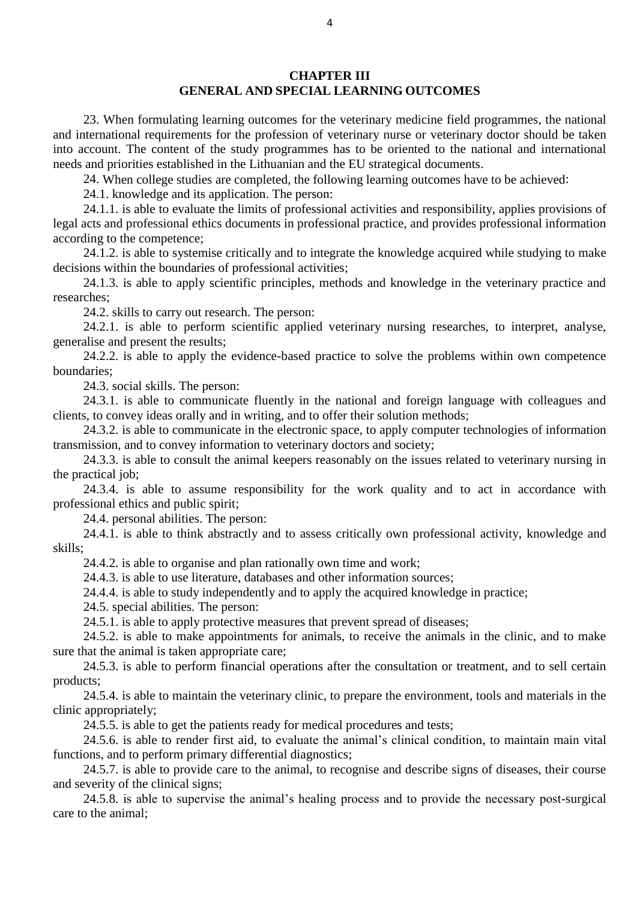23. When formulating learning outcomes for the veterinary medicine field programmes, the national and international requirements for the profession of veterinary nurse or veterinary doctor should be taken into account. The content of the study programmes has to be oriented to the national and international needs and priorities established in the Lithuanian and the EU strategical documents.

24. When college studies are completed, the following learning outcomes have to be achieved:

24.1. knowledge and its application. The person:

24.1.1. is able to evaluate the limits of professional activities and responsibility, applies provisions of legal acts and professional ethics documents in professional practice, and provides professional information according to the competence;

24.1.2. is able to systemise critically and to integrate the knowledge acquired while studying to make decisions within the boundaries of professional activities;

24.1.3. is able to apply scientific principles, methods and knowledge in the veterinary practice and researches;

24.2. skills to carry out research. The person:

24.2.1. is able to perform scientific applied veterinary nursing researches, to interpret, analyse, generalise and present the results;

24.2.2. is able to apply the evidence-based practice to solve the problems within own competence boundaries;

24.3. social skills. The person:

24.3.1. is able to communicate fluently in the national and foreign language with colleagues and clients, to convey ideas orally and in writing, and to offer their solution methods;

24.3.2. is able to communicate in the electronic space, to apply computer technologies of information transmission, and to convey information to veterinary doctors and society;

24.3.3. is able to consult the animal keepers reasonably on the issues related to veterinary nursing in the practical job;

24.3.4. is able to assume responsibility for the work quality and to act in accordance with professional ethics and public spirit;

24.4. personal abilities. The person:

24.4.1. is able to think abstractly and to assess critically own professional activity, knowledge and skills;

24.4.2. is able to organise and plan rationally own time and work;

24.4.3. is able to use literature, databases and other information sources;

24.4.4. is able to study independently and to apply the acquired knowledge in practice;

24.5. special abilities. The person:

24.5.1. is able to apply protective measures that prevent spread of diseases;

24.5.2. is able to make appointments for animals, to receive the animals in the clinic, and to make sure that the animal is taken appropriate care;

24.5.3. is able to perform financial operations after the consultation or treatment, and to sell certain products;

24.5.4. is able to maintain the veterinary clinic, to prepare the environment, tools and materials in the clinic appropriately;

24.5.5. is able to get the patients ready for medical procedures and tests;

24.5.6. is able to render first aid, to evaluate the animal's clinical condition, to maintain main vital functions, and to perform primary differential diagnostics;

24.5.7. is able to provide care to the animal, to recognise and describe signs of diseases, their course and severity of the clinical signs;

24.5.8. is able to supervise the animal's healing process and to provide the necessary post-surgical care to the animal;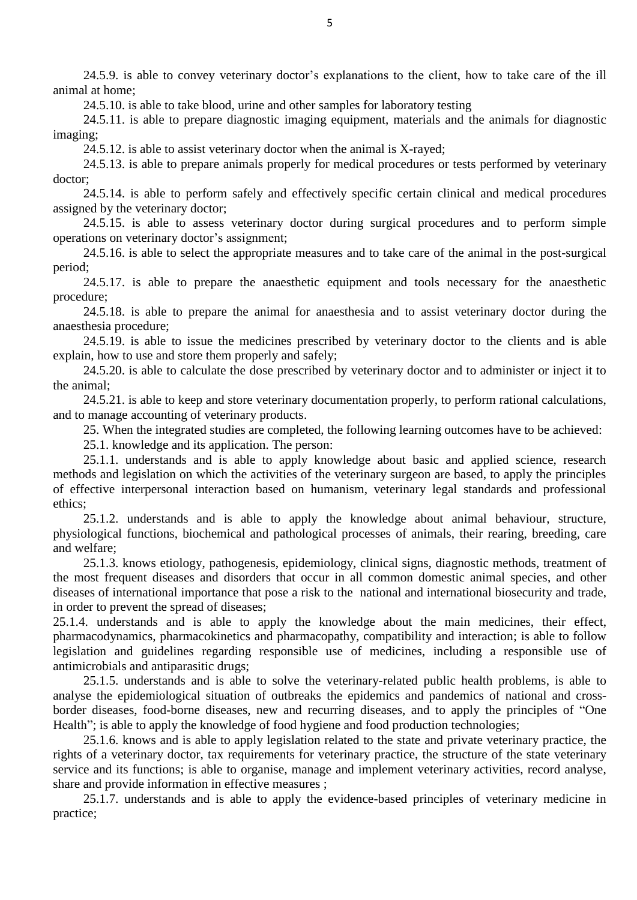24.5.9. is able to convey veterinary doctor's explanations to the client, how to take care of the ill animal at home;

24.5.10. is able to take blood, urine and other samples for laboratory testing

24.5.11. is able to prepare diagnostic imaging equipment, materials and the animals for diagnostic imaging;

24.5.12. is able to assist veterinary doctor when the animal is X-rayed;

24.5.13. is able to prepare animals properly for medical procedures or tests performed by veterinary doctor;

24.5.14. is able to perform safely and effectively specific certain clinical and medical procedures assigned by the veterinary doctor;

24.5.15. is able to assess veterinary doctor during surgical procedures and to perform simple operations on veterinary doctor's assignment;

24.5.16. is able to select the appropriate measures and to take care of the animal in the post-surgical period;

24.5.17. is able to prepare the anaesthetic equipment and tools necessary for the anaesthetic procedure;

24.5.18. is able to prepare the animal for anaesthesia and to assist veterinary doctor during the anaesthesia procedure;

24.5.19. is able to issue the medicines prescribed by veterinary doctor to the clients and is able explain, how to use and store them properly and safely;

24.5.20. is able to calculate the dose prescribed by veterinary doctor and to administer or inject it to the animal;

24.5.21. is able to keep and store veterinary documentation properly, to perform rational calculations, and to manage accounting of veterinary products.

25. When the integrated studies are completed, the following learning outcomes have to be achieved:

25.1. knowledge and its application. The person:

25.1.1. understands and is able to apply knowledge about basic and applied science, research methods and legislation on which the activities of the veterinary surgeon are based, to apply the principles of effective interpersonal interaction based on humanism, veterinary legal standards and professional ethics;

25.1.2. understands and is able to apply the knowledge about animal behaviour, structure, physiological functions, biochemical and pathological processes of animals, their rearing, breeding, care and welfare;

25.1.3. knows etiology, pathogenesis, epidemiology, clinical signs, diagnostic methods, treatment of the most frequent diseases and disorders that occur in all common domestic animal species, and other diseases of international importance that pose a risk to the national and international biosecurity and trade, in order to prevent the spread of diseases;

25.1.4. understands and is able to apply the knowledge about the main medicines, their effect, pharmacodynamics, pharmacokinetics and pharmacopathy, compatibility and interaction; is able to follow legislation and guidelines regarding responsible use of medicines, including a responsible use of antimicrobials and antiparasitic drugs;

25.1.5. understands and is able to solve the veterinary-related public health problems, is able to analyse the epidemiological situation of outbreaks the epidemics and pandemics of national and crossborder diseases, food-borne diseases, new and recurring diseases, and to apply the principles of "One Health"; is able to apply the knowledge of food hygiene and food production technologies;

25.1.6. knows and is able to apply legislation related to the state and private veterinary practice, the rights of a veterinary doctor, tax requirements for veterinary practice, the structure of the state veterinary service and its functions; is able to organise, manage and implement veterinary activities, record analyse, share and provide information in effective measures ;

25.1.7. understands and is able to apply the evidence-based principles of veterinary medicine in practice;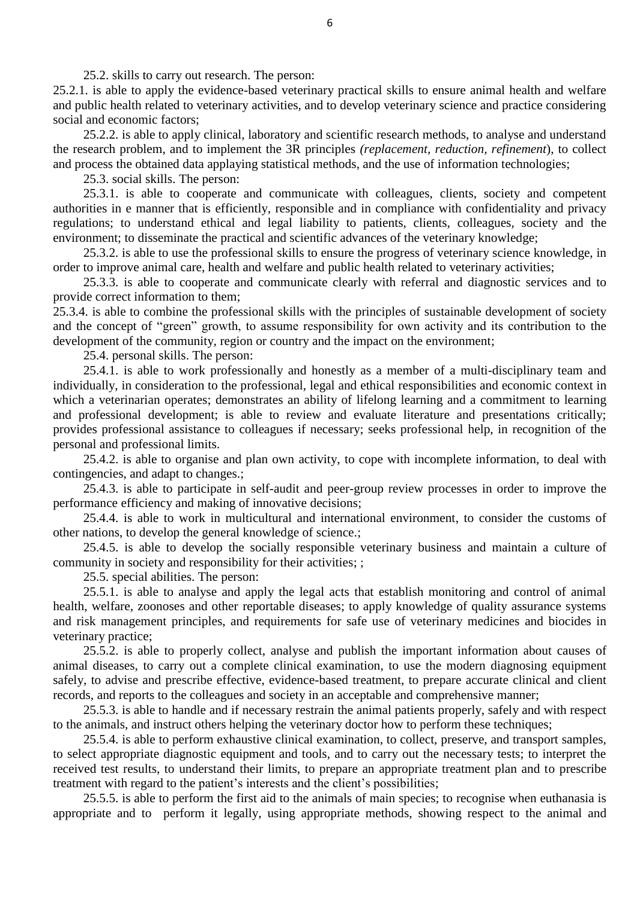25.2. skills to carry out research. The person:

25.2.1. is able to apply the evidence-based veterinary practical skills to ensure animal health and welfare and public health related to veterinary activities, and to develop veterinary science and practice considering social and economic factors;

25.2.2. is able to apply clinical, laboratory and scientific research methods, to analyse and understand the research problem, and to implement the 3R principles *(replacement, reduction, refinement*), to collect and process the obtained data applaying statistical methods, and the use of information technologies;

25.3. social skills. The person:

25.3.1. is able to cooperate and communicate with colleagues, clients, society and competent authorities in e manner that is efficiently, responsible and in compliance with confidentiality and privacy regulations; to understand ethical and legal liability to patients, clients, colleagues, society and the environment; to disseminate the practical and scientific advances of the veterinary knowledge;

25.3.2. is able to use the professional skills to ensure the progress of veterinary science knowledge, in order to improve animal care, health and welfare and public health related to veterinary activities;

25.3.3. is able to cooperate and communicate clearly with referral and diagnostic services and to provide correct information to them;

25.3.4. is able to combine the professional skills with the principles of sustainable development of society and the concept of "green" growth, to assume responsibility for own activity and its contribution to the development of the community, region or country and the impact on the environment;

25.4. personal skills. The person:

25.4.1. is able to work professionally and honestly as a member of a multi-disciplinary team and individually, in consideration to the professional, legal and ethical responsibilities and economic context in which a veterinarian operates; demonstrates an ability of lifelong learning and a commitment to learning and professional development; is able to review and evaluate literature and presentations critically; provides professional assistance to colleagues if necessary; seeks professional help, in recognition of the personal and professional limits.

25.4.2. is able to organise and plan own activity, to cope with incomplete information, to deal with contingencies, and adapt to changes.;

25.4.3. is able to participate in self-audit and peer-group review processes in order to improve the performance efficiency and making of innovative decisions;

25.4.4. is able to work in multicultural and international environment, to consider the customs of other nations, to develop the general knowledge of science.;

25.4.5. is able to develop the socially responsible veterinary business and maintain a culture of community in society and responsibility for their activities; ;

25.5. special abilities. The person:

25.5.1. is able to analyse and apply the legal acts that establish monitoring and control of animal health, welfare, zoonoses and other reportable diseases; to apply knowledge of quality assurance systems and risk management principles, and requirements for safe use of veterinary medicines and biocides in veterinary practice;

25.5.2. is able to properly collect, analyse and publish the important information about causes of animal diseases, to carry out a complete clinical examination, to use the modern diagnosing equipment safely, to advise and prescribe effective, evidence-based treatment, to prepare accurate clinical and client records, and reports to the colleagues and society in an acceptable and comprehensive manner;

25.5.3. is able to handle and if necessary restrain the animal patients properly, safely and with respect to the animals, and instruct others helping the veterinary doctor how to perform these techniques;

25.5.4. is able to perform exhaustive clinical examination, to collect, preserve, and transport samples, to select appropriate diagnostic equipment and tools, and to carry out the necessary tests; to interpret the received test results, to understand their limits, to prepare an appropriate treatment plan and to prescribe treatment with regard to the patient's interests and the client's possibilities;

25.5.5. is able to perform the first aid to the animals of main species; to recognise when euthanasia is appropriate and to perform it legally, using appropriate methods, showing respect to the animal and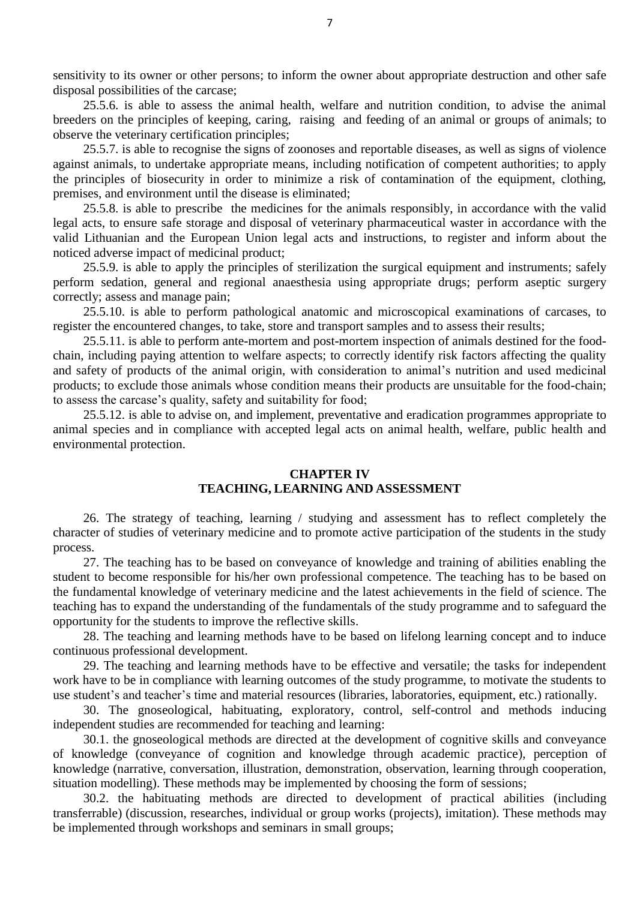sensitivity to its owner or other persons; to inform the owner about appropriate destruction and other safe disposal possibilities of the carcase;

25.5.6. is able to assess the animal health, welfare and nutrition condition, to advise the animal breeders on the principles of keeping, caring, raising and feeding of an animal or groups of animals; to observe the veterinary certification principles;

25.5.7. is able to recognise the signs of zoonoses and reportable diseases, as well as signs of violence against animals, to undertake appropriate means, including notification of competent authorities; to apply the principles of biosecurity in order to minimize a risk of contamination of the equipment, clothing, premises, and environment until the disease is eliminated;

25.5.8. is able to prescribe the medicines for the animals responsibly, in accordance with the valid legal acts, to ensure safe storage and disposal of veterinary pharmaceutical waster in accordance with the valid Lithuanian and the European Union legal acts and instructions, to register and inform about the noticed adverse impact of medicinal product;

25.5.9. is able to apply the principles of sterilization the surgical equipment and instruments; safely perform sedation, general and regional anaesthesia using appropriate drugs; perform aseptic surgery correctly; assess and manage pain;

25.5.10. is able to perform pathological anatomic and microscopical examinations of carcases, to register the encountered changes, to take, store and transport samples and to assess their results;

25.5.11. is able to perform ante-mortem and post-mortem inspection of animals destined for the foodchain, including paying attention to welfare aspects; to correctly identify risk factors affecting the quality and safety of products of the animal origin, with consideration to animal's nutrition and used medicinal products; to exclude those animals whose condition means their products are unsuitable for the food-chain; to assess the carcase's quality, safety and suitability for food;

25.5.12. is able to advise on, and implement, preventative and eradication programmes appropriate to animal species and in compliance with accepted legal acts on animal health, welfare, public health and environmental protection.

#### **CHAPTER IV TEACHING, LEARNING AND ASSESSMENT**

26. The strategy of teaching, learning / studying and assessment has to reflect completely the character of studies of veterinary medicine and to promote active participation of the students in the study process.

27. The teaching has to be based on conveyance of knowledge and training of abilities enabling the student to become responsible for his/her own professional competence. The teaching has to be based on the fundamental knowledge of veterinary medicine and the latest achievements in the field of science. The teaching has to expand the understanding of the fundamentals of the study programme and to safeguard the opportunity for the students to improve the reflective skills.

28. The teaching and learning methods have to be based on lifelong learning concept and to induce continuous professional development.

29. The teaching and learning methods have to be effective and versatile; the tasks for independent work have to be in compliance with learning outcomes of the study programme, to motivate the students to use student's and teacher's time and material resources (libraries, laboratories, equipment, etc.) rationally.

30. The gnoseological, habituating, exploratory, control, self-control and methods inducing independent studies are recommended for teaching and learning:

30.1. the gnoseological methods are directed at the development of cognitive skills and conveyance of knowledge (conveyance of cognition and knowledge through academic practice), perception of knowledge (narrative, conversation, illustration, demonstration, observation, learning through cooperation, situation modelling). These methods may be implemented by choosing the form of sessions;

30.2. the habituating methods are directed to development of practical abilities (including transferrable) (discussion, researches, individual or group works (projects), imitation). These methods may be implemented through workshops and seminars in small groups;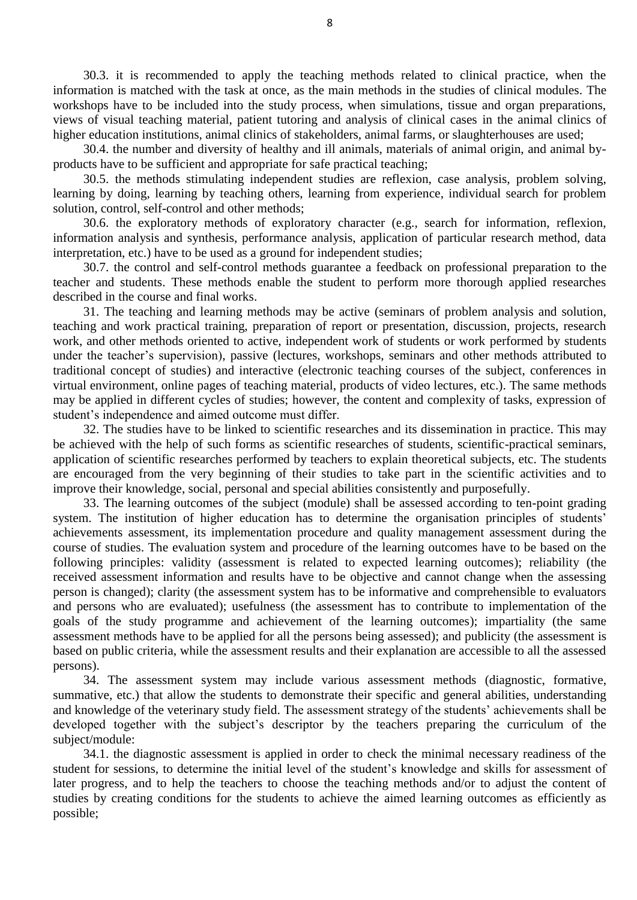30.3. it is recommended to apply the teaching methods related to clinical practice, when the information is matched with the task at once, as the main methods in the studies of clinical modules. The workshops have to be included into the study process, when simulations, tissue and organ preparations, views of visual teaching material, patient tutoring and analysis of clinical cases in the animal clinics of higher education institutions, animal clinics of stakeholders, animal farms, or slaughterhouses are used;

30.4. the number and diversity of healthy and ill animals, materials of animal origin, and animal byproducts have to be sufficient and appropriate for safe practical teaching;

30.5. the methods stimulating independent studies are reflexion, case analysis, problem solving, learning by doing, learning by teaching others, learning from experience, individual search for problem solution, control, self-control and other methods;

30.6. the exploratory methods of exploratory character (e.g., search for information, reflexion, information analysis and synthesis, performance analysis, application of particular research method, data interpretation, etc.) have to be used as a ground for independent studies;

30.7. the control and self-control methods guarantee a feedback on professional preparation to the teacher and students. These methods enable the student to perform more thorough applied researches described in the course and final works.

31. The teaching and learning methods may be active (seminars of problem analysis and solution, teaching and work practical training, preparation of report or presentation, discussion, projects, research work, and other methods oriented to active, independent work of students or work performed by students under the teacher's supervision), passive (lectures, workshops, seminars and other methods attributed to traditional concept of studies) and interactive (electronic teaching courses of the subject, conferences in virtual environment, online pages of teaching material, products of video lectures, etc.). The same methods may be applied in different cycles of studies; however, the content and complexity of tasks, expression of student's independence and aimed outcome must differ.

32. The studies have to be linked to scientific researches and its dissemination in practice. This may be achieved with the help of such forms as scientific researches of students, scientific-practical seminars, application of scientific researches performed by teachers to explain theoretical subjects, etc. The students are encouraged from the very beginning of their studies to take part in the scientific activities and to improve their knowledge, social, personal and special abilities consistently and purposefully.

33. The learning outcomes of the subject (module) shall be assessed according to ten-point grading system. The institution of higher education has to determine the organisation principles of students' achievements assessment, its implementation procedure and quality management assessment during the course of studies. The evaluation system and procedure of the learning outcomes have to be based on the following principles: validity (assessment is related to expected learning outcomes); reliability (the received assessment information and results have to be objective and cannot change when the assessing person is changed); clarity (the assessment system has to be informative and comprehensible to evaluators and persons who are evaluated); usefulness (the assessment has to contribute to implementation of the goals of the study programme and achievement of the learning outcomes); impartiality (the same assessment methods have to be applied for all the persons being assessed); and publicity (the assessment is based on public criteria, while the assessment results and their explanation are accessible to all the assessed persons).

34. The assessment system may include various assessment methods (diagnostic, formative, summative, etc.) that allow the students to demonstrate their specific and general abilities, understanding and knowledge of the veterinary study field. The assessment strategy of the students' achievements shall be developed together with the subject's descriptor by the teachers preparing the curriculum of the subject/module:

34.1. the diagnostic assessment is applied in order to check the minimal necessary readiness of the student for sessions, to determine the initial level of the student's knowledge and skills for assessment of later progress, and to help the teachers to choose the teaching methods and/or to adjust the content of studies by creating conditions for the students to achieve the aimed learning outcomes as efficiently as possible;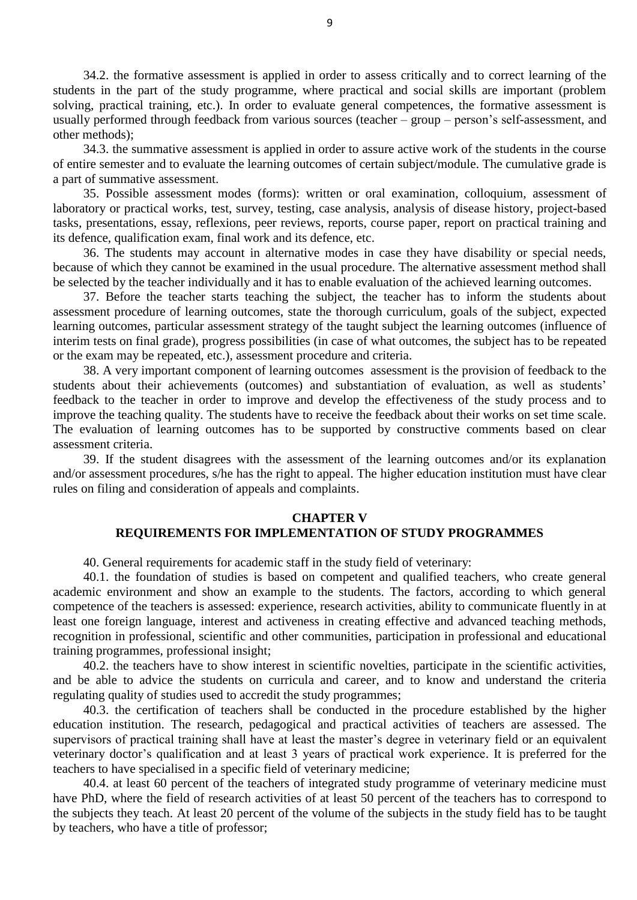34.2. the formative assessment is applied in order to assess critically and to correct learning of the students in the part of the study programme, where practical and social skills are important (problem solving, practical training, etc.). In order to evaluate general competences, the formative assessment is usually performed through feedback from various sources (teacher – group – person's self-assessment, and other methods);

34.3. the summative assessment is applied in order to assure active work of the students in the course of entire semester and to evaluate the learning outcomes of certain subject/module. The cumulative grade is a part of summative assessment.

35. Possible assessment modes (forms): written or oral examination, colloquium, assessment of laboratory or practical works, test, survey, testing, case analysis, analysis of disease history, project-based tasks, presentations, essay, reflexions, peer reviews, reports, course paper, report on practical training and its defence, qualification exam, final work and its defence, etc.

36. The students may account in alternative modes in case they have disability or special needs, because of which they cannot be examined in the usual procedure. The alternative assessment method shall be selected by the teacher individually and it has to enable evaluation of the achieved learning outcomes.

37. Before the teacher starts teaching the subject, the teacher has to inform the students about assessment procedure of learning outcomes, state the thorough curriculum, goals of the subject, expected learning outcomes, particular assessment strategy of the taught subject the learning outcomes (influence of interim tests on final grade), progress possibilities (in case of what outcomes, the subject has to be repeated or the exam may be repeated, etc.), assessment procedure and criteria.

38. A very important component of learning outcomes assessment is the provision of feedback to the students about their achievements (outcomes) and substantiation of evaluation, as well as students' feedback to the teacher in order to improve and develop the effectiveness of the study process and to improve the teaching quality. The students have to receive the feedback about their works on set time scale. The evaluation of learning outcomes has to be supported by constructive comments based on clear assessment criteria.

39. If the student disagrees with the assessment of the learning outcomes and/or its explanation and/or assessment procedures, s/he has the right to appeal. The higher education institution must have clear rules on filing and consideration of appeals and complaints.

#### **CHAPTER V**

#### **REQUIREMENTS FOR IMPLEMENTATION OF STUDY PROGRAMMES**

40. General requirements for academic staff in the study field of veterinary:

40.1. the foundation of studies is based on competent and qualified teachers, who create general academic environment and show an example to the students. The factors, according to which general competence of the teachers is assessed: experience, research activities, ability to communicate fluently in at least one foreign language, interest and activeness in creating effective and advanced teaching methods, recognition in professional, scientific and other communities, participation in professional and educational training programmes, professional insight;

40.2. the teachers have to show interest in scientific novelties, participate in the scientific activities, and be able to advice the students on curricula and career, and to know and understand the criteria regulating quality of studies used to accredit the study programmes;

40.3. the certification of teachers shall be conducted in the procedure established by the higher education institution. The research, pedagogical and practical activities of teachers are assessed. The supervisors of practical training shall have at least the master's degree in veterinary field or an equivalent veterinary doctor's qualification and at least 3 years of practical work experience. It is preferred for the teachers to have specialised in a specific field of veterinary medicine;

40.4. at least 60 percent of the teachers of integrated study programme of veterinary medicine must have PhD, where the field of research activities of at least 50 percent of the teachers has to correspond to the subjects they teach. At least 20 percent of the volume of the subjects in the study field has to be taught by teachers, who have a title of professor;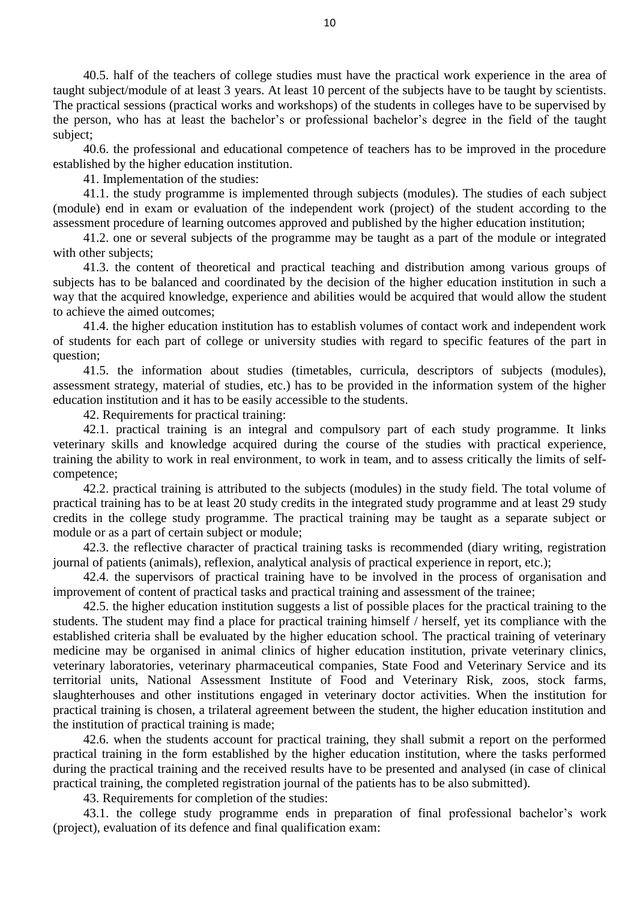40.5. half of the teachers of college studies must have the practical work experience in the area of taught subject/module of at least 3 years. At least 10 percent of the subjects have to be taught by scientists. The practical sessions (practical works and workshops) of the students in colleges have to be supervised by the person, who has at least the bachelor's or professional bachelor's degree in the field of the taught subject;

40.6. the professional and educational competence of teachers has to be improved in the procedure established by the higher education institution.

41. Implementation of the studies:

41.1. the study programme is implemented through subjects (modules). The studies of each subject (module) end in exam or evaluation of the independent work (project) of the student according to the assessment procedure of learning outcomes approved and published by the higher education institution;

41.2. one or several subjects of the programme may be taught as a part of the module or integrated with other subjects:

41.3. the content of theoretical and practical teaching and distribution among various groups of subjects has to be balanced and coordinated by the decision of the higher education institution in such a way that the acquired knowledge, experience and abilities would be acquired that would allow the student to achieve the aimed outcomes;

41.4. the higher education institution has to establish volumes of contact work and independent work of students for each part of college or university studies with regard to specific features of the part in question;

41.5. the information about studies (timetables, curricula, descriptors of subjects (modules), assessment strategy, material of studies, etc.) has to be provided in the information system of the higher education institution and it has to be easily accessible to the students.

42. Requirements for practical training:

42.1. practical training is an integral and compulsory part of each study programme. It links veterinary skills and knowledge acquired during the course of the studies with practical experience, training the ability to work in real environment, to work in team, and to assess critically the limits of selfcompetence;

42.2. practical training is attributed to the subjects (modules) in the study field. The total volume of practical training has to be at least 20 study credits in the integrated study programme and at least 29 study credits in the college study programme. The practical training may be taught as a separate subject or module or as a part of certain subject or module;

42.3. the reflective character of practical training tasks is recommended (diary writing, registration journal of patients (animals), reflexion, analytical analysis of practical experience in report, etc.);

42.4. the supervisors of practical training have to be involved in the process of organisation and improvement of content of practical tasks and practical training and assessment of the trainee;

42.5. the higher education institution suggests a list of possible places for the practical training to the students. The student may find a place for practical training himself / herself, yet its compliance with the established criteria shall be evaluated by the higher education school. The practical training of veterinary medicine may be organised in animal clinics of higher education institution, private veterinary clinics, veterinary laboratories, veterinary pharmaceutical companies, State Food and Veterinary Service and its territorial units, National Assessment Institute of Food and Veterinary Risk, zoos, stock farms, slaughterhouses and other institutions engaged in veterinary doctor activities. When the institution for practical training is chosen, a trilateral agreement between the student, the higher education institution and the institution of practical training is made;

42.6. when the students account for practical training, they shall submit a report on the performed practical training in the form established by the higher education institution, where the tasks performed during the practical training and the received results have to be presented and analysed (in case of clinical practical training, the completed registration journal of the patients has to be also submitted).

43. Requirements for completion of the studies:

43.1. the college study programme ends in preparation of final professional bachelor's work (project), evaluation of its defence and final qualification exam: